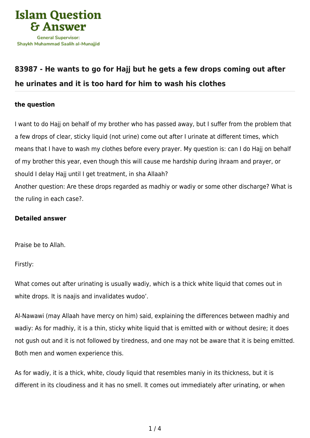

# **[83987 - He wants to go for Hajj but he gets a few drops coming out after](https://islamqa.com/en/answers/83987/he-wants-to-go-for-hajj-but-he-gets-a-few-drops-coming-out-after-he-urinates-and-it-is-too-hard-for-him-to-wash-his-clothes) [he urinates and it is too hard for him to wash his clothes](https://islamqa.com/en/answers/83987/he-wants-to-go-for-hajj-but-he-gets-a-few-drops-coming-out-after-he-urinates-and-it-is-too-hard-for-him-to-wash-his-clothes)**

## **the question**

I want to do Hajj on behalf of my brother who has passed away, but I suffer from the problem that a few drops of clear, sticky liquid (not urine) come out after I urinate at different times, which means that I have to wash my clothes before every prayer. My question is: can I do Hajj on behalf of my brother this year, even though this will cause me hardship during ihraam and prayer, or should I delay Hajj until I get treatment, in sha Allaah? Another question: Are these drops regarded as madhiy or wadiy or some other discharge? What is the ruling in each case?.

#### **Detailed answer**

Praise be to Allah.

Firstly:

What comes out after urinating is usually wadiy, which is a thick white liquid that comes out in white drops. It is naajis and invalidates wudoo'.

Al-Nawawi (may Allaah have mercy on him) said, explaining the differences between madhiy and wadiy: As for madhiy, it is a thin, sticky white liquid that is emitted with or without desire; it does not gush out and it is not followed by tiredness, and one may not be aware that it is being emitted. Both men and women experience this.

As for wadiy, it is a thick, white, cloudy liquid that resembles maniy in its thickness, but it is different in its cloudiness and it has no smell. It comes out immediately after urinating, or when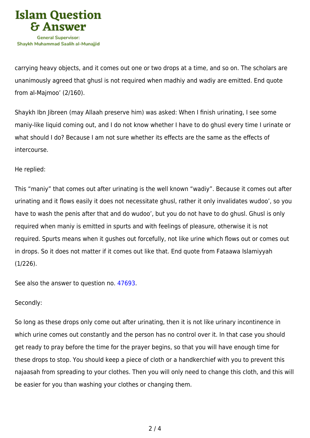

carrying heavy objects, and it comes out one or two drops at a time, and so on. The scholars are unanimously agreed that ghusl is not required when madhiy and wadiy are emitted. End quote from al-Majmoo' (2/160).

Shaykh Ibn Jibreen (may Allaah preserve him) was asked: When I finish urinating, I see some maniy-like liquid coming out, and I do not know whether I have to do ghusl every time I urinate or what should I do? Because I am not sure whether its effects are the same as the effects of intercourse.

#### He replied:

This "maniy" that comes out after urinating is the well known "wadiy". Because it comes out after urinating and it flows easily it does not necessitate ghusl, rather it only invalidates wudoo', so you have to wash the penis after that and do wudoo', but you do not have to do ghusl. Ghusl is only required when maniy is emitted in spurts and with feelings of pleasure, otherwise it is not required. Spurts means when it gushes out forcefully, not like urine which flows out or comes out in drops. So it does not matter if it comes out like that. End quote from Fataawa Islamiyyah (1/226).

See also the answer to question no. [47693.](https://islamqa.com/en/answers/47693)

### Secondly:

So long as these drops only come out after urinating, then it is not like urinary incontinence in which urine comes out constantly and the person has no control over it. In that case you should get ready to pray before the time for the prayer begins, so that you will have enough time for these drops to stop. You should keep a piece of cloth or a handkerchief with you to prevent this najaasah from spreading to your clothes. Then you will only need to change this cloth, and this will be easier for you than washing your clothes or changing them.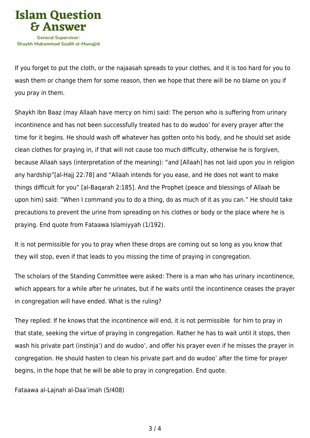

If you forget to put the cloth, or the najaasah spreads to your clothes, and it is too hard for you to wash them or change them for some reason, then we hope that there will be no blame on you if you pray in them.

Shaykh Ibn Baaz (may Allaah have mercy on him) said: The person who is suffering from urinary incontinence and has not been successfully treated has to do wudoo' for every prayer after the time for it begins. He should wash off whatever has gotten onto his body, and he should set aside clean clothes for praying in, if that will not cause too much difficulty, otherwise he is forgiven, because Allaah says (interpretation of the meaning): "and [Allaah] has not laid upon you in religion any hardship"[al-Hajj 22:78] and "Allaah intends for you ease, and He does not want to make things difficult for you" [al-Baqarah 2:185]. And the Prophet (peace and blessings of Allaah be upon him) said: "When I command you to do a thing, do as much of it as you can." He should take precautions to prevent the urine from spreading on his clothes or body or the place where he is praying. End quote from Fataawa Islamiyyah (1/192).

It is not permissible for you to pray when these drops are coming out so long as you know that they will stop, even if that leads to you missing the time of praying in congregation.

The scholars of the Standing Committee were asked: There is a man who has urinary incontinence, which appears for a while after he urinates, but if he waits until the incontinence ceases the prayer in congregation will have ended. What is the ruling?

They replied: If he knows that the incontinence will end, it is not permissible for him to pray in that state, seeking the virtue of praying in congregation. Rather he has to wait until it stops, then wash his private part (instinja') and do wudoo', and offer his prayer even if he misses the prayer in congregation. He should hasten to clean his private part and do wudoo' after the time for prayer begins, in the hope that he will be able to pray in congregation. End quote.

Fataawa al-Lajnah al-Daa'imah (5/408)